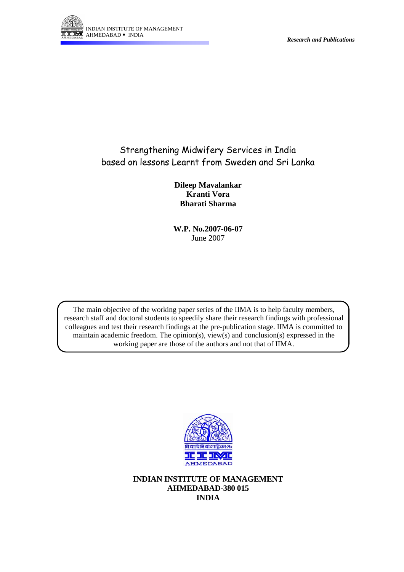

# Strengthening Midwifery Services in India based on lessons Learnt from Sweden and Sri Lanka

**Dileep Mavalankar Kranti Vora Bharati Sharma** 

**W.P. No.2007-06-07**  June 2007

The main objective of the working paper series of the IIMA is to help faculty members, research staff and doctoral students to speedily share their research findings with professional colleagues and test their research findings at the pre-publication stage. IIMA is committed to maintain academic freedom. The opinion(s), view(s) and conclusion(s) expressed in the working paper are those of the authors and not that of IIMA.



**INDIAN INSTITUTE OF MANAGEMENT AHMEDABAD-380 015 INDIA**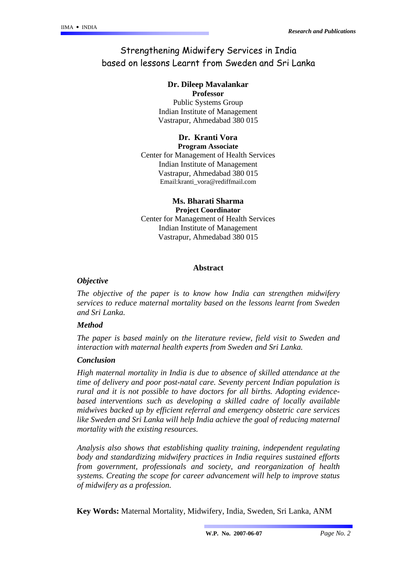# Strengthening Midwifery Services in India based on lessons Learnt from Sweden and Sri Lanka

# **Dr. Dileep Mavalankar**

**Professor** Public Systems Group Indian Institute of Management Vastrapur, Ahmedabad 380 015

#### **Dr. Kranti Vora Program Associate**

Center for Management of Health Services Indian Institute of Management Vastrapur, Ahmedabad 380 015 Email:kranti\_vora@rediffmail.com

#### **Ms. Bharati Sharma Project Coordinator**

Center for Management of Health Services Indian Institute of Management Vastrapur, Ahmedabad 380 015

# **Abstract**

# *Objective*

*The objective of the paper is to know how India can strengthen midwifery services to reduce maternal mortality based on the lessons learnt from Sweden and Sri Lanka.* 

### *Method*

*The paper is based mainly on the literature review, field visit to Sweden and interaction with maternal health experts from Sweden and Sri Lanka.* 

# *Conclusion*

*High maternal mortality in India is due to absence of skilled attendance at the time of delivery and poor post-natal care. Seventy percent Indian population is rural and it is not possible to have doctors for all births. Adopting evidencebased interventions such as developing a skilled cadre of locally available midwives backed up by efficient referral and emergency obstetric care services*  like Sweden and Sri Lanka will help India achieve the goal of reducing maternal *mortality with the existing resources.* 

*Analysis also shows that establishing quality training, independent regulating body and standardizing midwifery practices in India requires sustained efforts from government, professionals and society, and reorganization of health systems. Creating the scope for career advancement will help to improve status of midwifery as a profession.*

 **Key Words:** Maternal Mortality, Midwifery, India, Sweden, Sri Lanka, ANM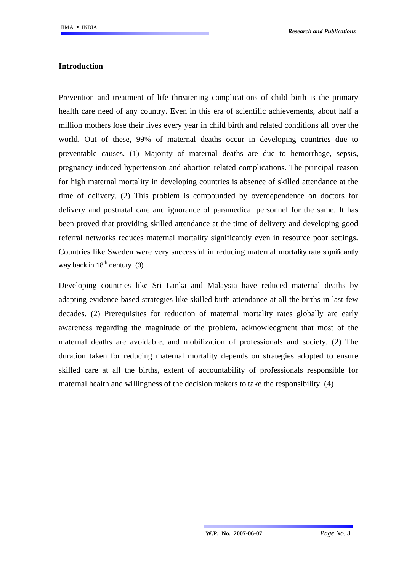# **Introduction**

Prevention and treatment of life threatening complications of child birth is the primary health care need of any country. Even in this era of scientific achievements, about half a million mothers lose their lives every year in child birth and related conditions all over the world. Out of these, 99% of maternal deaths occur in developing countries due to preventable causes. (1) Majority of maternal deaths are due to hemorrhage, sepsis, pregnancy induced hypertension and abortion related complications. The principal reason for high maternal mortality in developing countries is absence of skilled attendance at the time of delivery. (2) This problem is compounded by overdependence on doctors for delivery and postnatal care and ignorance of paramedical personnel for the same. It has been proved that providing skilled attendance at the time of delivery and developing good referral networks reduces maternal mortality significantly even in resource poor settings. Countries like Sweden were very successful in reducing maternal mortality rate significantly way back in  $18^{th}$  century. (3)

Developing countries like Sri Lanka and Malaysia have reduced maternal deaths by adapting evidence based strategies like skilled birth attendance at all the births in last few decades. (2) Prerequisites for reduction of maternal mortality rates globally are early awareness regarding the magnitude of the problem, acknowledgment that most of the maternal deaths are avoidable, and mobilization of professionals and society. (2) The duration taken for reducing maternal mortality depends on strategies adopted to ensure skilled care at all the births, extent of accountability of professionals responsible for maternal health and willingness of the decision makers to take the responsibility. (4)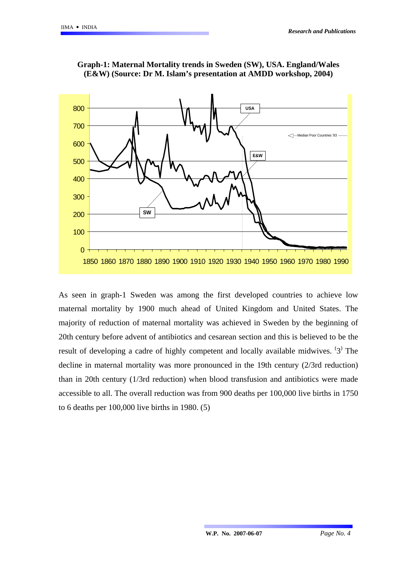

#### **Graph-1: Maternal Mortality trends in Sweden (SW), USA. England/Wales (E&W) (Source: Dr M. Islam's presentation at AMDD workshop, 2004)**

As seen in graph-1 Sweden was among the first developed countries to achieve low maternal mortality by 1900 much ahead of United Kingdom and United States. The majority of reduction of maternal mortality was achieved in Sweden by the beginning of 20th century before advent of antibiotics and cesarean section and this is believed to be the result of developing a cadre of highly competent and locally available midwives.  $(3)$  The decline in maternal mortality was more pronounced in the 19th century (2/3rd reduction) than in 20th century (1/3rd reduction) when blood transfusion and antibiotics were made accessible to all. The overall reduction was from 900 deaths per 100,000 live births in 1750 to 6 deaths per 100,000 live births in 1980. (5)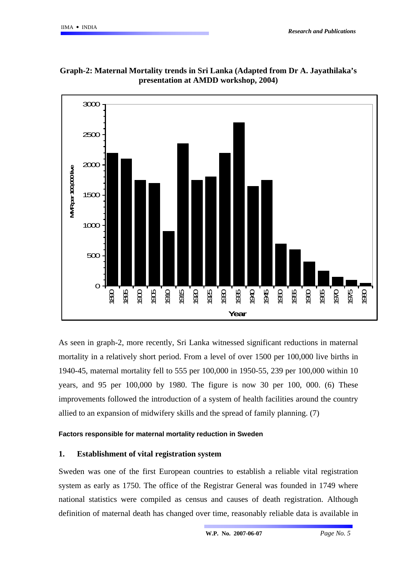

**Graph-2: Maternal Mortality trends in Sri Lanka (Adapted from Dr A. Jayathilaka's presentation at AMDD workshop, 2004)** 

As seen in graph-2, more recently, Sri Lanka witnessed significant reductions in maternal mortality in a relatively short period. From a level of over 1500 per 100,000 live births in 1940-45, maternal mortality fell to 555 per 100,000 in 1950-55, 239 per 100,000 within 10 years, and 95 per 100,000 by 1980. The figure is now 30 per 100, 000. (6) These improvements followed the introduction of a system of health facilities around the country allied to an expansion of midwifery skills and the spread of family planning. (7)

#### **Factors responsible for maternal mortality reduction in Sweden**

### **1. Establishment of vital registration system**

Sweden was one of the first European countries to establish a reliable vital registration system as early as 1750. The office of the Registrar General was founded in 1749 where national statistics were compiled as census and causes of death registration. Although definition of maternal death has changed over time, reasonably reliable data is available in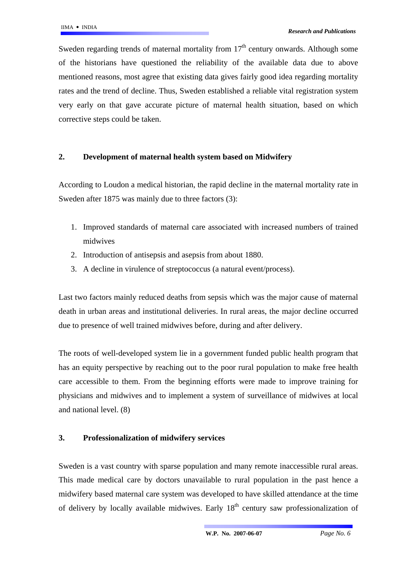Sweden regarding trends of maternal mortality from  $17<sup>th</sup>$  century onwards. Although some of the historians have questioned the reliability of the available data due to above mentioned reasons, most agree that existing data gives fairly good idea regarding mortality rates and the trend of decline. Thus, Sweden established a reliable vital registration system very early on that gave accurate picture of maternal health situation, based on which corrective steps could be taken.

### **2. Development of maternal health system based on Midwifery**

According to Loudon a medical historian, the rapid decline in the maternal mortality rate in Sweden after 1875 was mainly due to three factors (3):

- 1. Improved standards of maternal care associated with increased numbers of trained midwives
- 2. Introduction of antisepsis and asepsis from about 1880.
- 3. A decline in virulence of streptococcus (a natural event/process).

Last two factors mainly reduced deaths from sepsis which was the major cause of maternal death in urban areas and institutional deliveries. In rural areas, the major decline occurred due to presence of well trained midwives before, during and after delivery.

The roots of well-developed system lie in a government funded public health program that has an equity perspective by reaching out to the poor rural population to make free health care accessible to them. From the beginning efforts were made to improve training for physicians and midwives and to implement a system of surveillance of midwives at local and national level. (8)

# **3. Professionalization of midwifery services**

Sweden is a vast country with sparse population and many remote inaccessible rural areas. This made medical care by doctors unavailable to rural population in the past hence a midwifery based maternal care system was developed to have skilled attendance at the time of delivery by locally available midwives. Early  $18<sup>th</sup>$  century saw professionalization of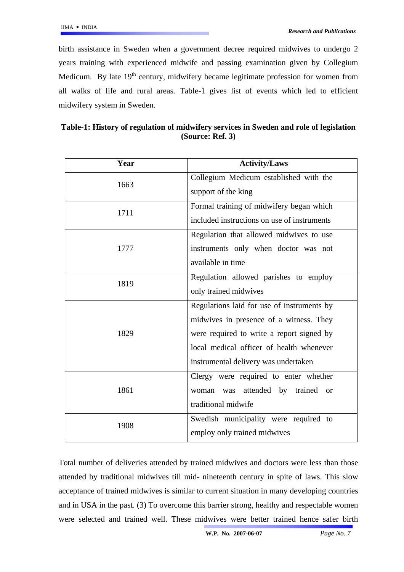birth assistance in Sweden when a government decree required midwives to undergo 2 years training with experienced midwife and passing examination given by Collegium Medicum. By late  $19<sup>th</sup>$  century, midwifery became legitimate profession for women from all walks of life and rural areas. Table-1 gives list of events which led to efficient midwifery system in Sweden.

| Table-1: History of regulation of midwifery services in Sweden and role of legislation |
|----------------------------------------------------------------------------------------|
| (Source: Ref. $3)$ )                                                                   |

| Year | <b>Activity/Laws</b>                               |
|------|----------------------------------------------------|
| 1663 | Collegium Medicum established with the             |
|      | support of the king                                |
| 1711 | Formal training of midwifery began which           |
|      | included instructions on use of instruments        |
| 1777 | Regulation that allowed midwives to use            |
|      | instruments only when doctor was not               |
|      | available in time                                  |
| 1819 | Regulation allowed parishes to employ              |
|      | only trained midwives                              |
| 1829 | Regulations laid for use of instruments by         |
|      | midwives in presence of a witness. They            |
|      | were required to write a report signed by          |
|      | local medical officer of health whenever           |
|      | instrumental delivery was undertaken               |
| 1861 | Clergy were required to enter whether              |
|      | attended by<br>trained<br>was<br>woman<br>$\alpha$ |
|      | traditional midwife                                |
| 1908 | Swedish municipality were required to              |
|      | employ only trained midwives                       |

Total number of deliveries attended by trained midwives and doctors were less than those attended by traditional midwives till mid- nineteenth century in spite of laws. This slow acceptance of trained midwives is similar to current situation in many developing countries and in USA in the past. (3) To overcome this barrier strong, healthy and respectable women were selected and trained well. These midwives were better trained hence safer birth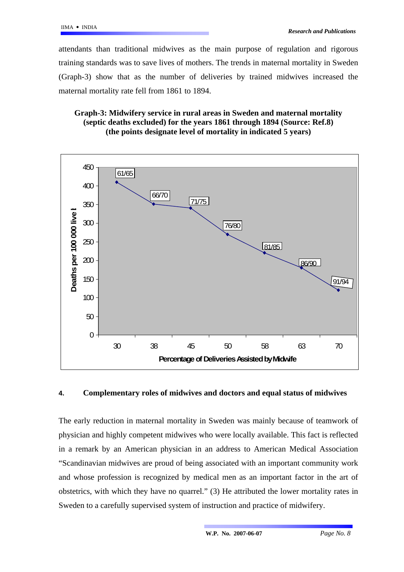attendants than traditional midwives as the main purpose of regulation and rigorous training standards was to save lives of mothers. The trends in maternal mortality in Sweden (Graph-3) show that as the number of deliveries by trained midwives increased the maternal mortality rate fell from 1861 to 1894.

# **Graph-3: Midwifery service in rural areas in Sweden and maternal mortality (septic deaths excluded) for the years 1861 through 1894 (Source: Ref.8) (the points designate level of mortality in indicated 5 years)**



# **4. Complementary roles of midwives and doctors and equal status of midwives**

The early reduction in maternal mortality in Sweden was mainly because of teamwork of physician and highly competent midwives who were locally available. This fact is reflected in a remark by an American physician in an address to American Medical Association "Scandinavian midwives are proud of being associated with an important community work and whose profession is recognized by medical men as an important factor in the art of obstetrics, with which they have no quarrel." (3) He attributed the lower mortality rates in Sweden to a carefully supervised system of instruction and practice of midwifery.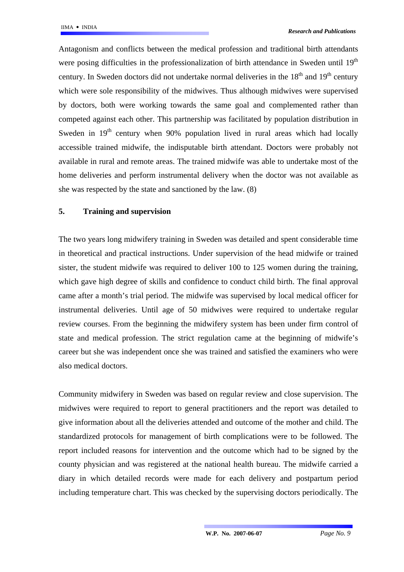Antagonism and conflicts between the medical profession and traditional birth attendants were posing difficulties in the professionalization of birth attendance in Sweden until  $19<sup>th</sup>$ century. In Sweden doctors did not undertake normal deliveries in the  $18<sup>th</sup>$  and  $19<sup>th</sup>$  century which were sole responsibility of the midwives. Thus although midwives were supervised by doctors, both were working towards the same goal and complemented rather than competed against each other. This partnership was facilitated by population distribution in Sweden in  $19<sup>th</sup>$  century when 90% population lived in rural areas which had locally accessible trained midwife, the indisputable birth attendant. Doctors were probably not available in rural and remote areas. The trained midwife was able to undertake most of the home deliveries and perform instrumental delivery when the doctor was not available as she was respected by the state and sanctioned by the law. (8)

### **5. Training and supervision**

The two years long midwifery training in Sweden was detailed and spent considerable time in theoretical and practical instructions. Under supervision of the head midwife or trained sister, the student midwife was required to deliver 100 to 125 women during the training, which gave high degree of skills and confidence to conduct child birth. The final approval came after a month's trial period. The midwife was supervised by local medical officer for instrumental deliveries. Until age of 50 midwives were required to undertake regular review courses. From the beginning the midwifery system has been under firm control of state and medical profession. The strict regulation came at the beginning of midwife's career but she was independent once she was trained and satisfied the examiners who were also medical doctors.

Community midwifery in Sweden was based on regular review and close supervision. The midwives were required to report to general practitioners and the report was detailed to give information about all the deliveries attended and outcome of the mother and child. The standardized protocols for management of birth complications were to be followed. The report included reasons for intervention and the outcome which had to be signed by the county physician and was registered at the national health bureau. The midwife carried a diary in which detailed records were made for each delivery and postpartum period including temperature chart. This was checked by the supervising doctors periodically. The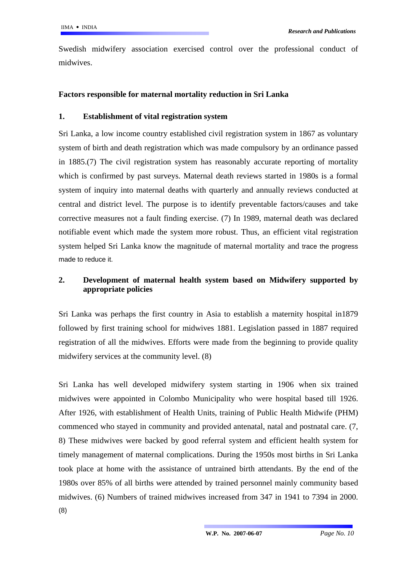Swedish midwifery association exercised control over the professional conduct of midwives.

# **Factors responsible for maternal mortality reduction in Sri Lanka**

# **1. Establishment of vital registration system**

Sri Lanka, a low income country established civil registration system in 1867 as voluntary system of birth and death registration which was made compulsory by an ordinance passed in 1885.(7) The civil registration system has reasonably accurate reporting of mortality which is confirmed by past surveys. Maternal death reviews started in 1980s is a formal system of inquiry into maternal deaths with quarterly and annually reviews conducted at central and district level. The purpose is to identify preventable factors/causes and take corrective measures not a fault finding exercise. (7) In 1989, maternal death was declared notifiable event which made the system more robust. Thus, an efficient vital registration system helped Sri Lanka know the magnitude of maternal mortality and trace the progress made to reduce it.

# **2. Development of maternal health system based on Midwifery supported by appropriate policies**

Sri Lanka was perhaps the first country in Asia to establish a maternity hospital in1879 followed by first training school for midwives 1881. Legislation passed in 1887 required registration of all the midwives. Efforts were made from the beginning to provide quality midwifery services at the community level. (8)

Sri Lanka has well developed midwifery system starting in 1906 when six trained midwives were appointed in Colombo Municipality who were hospital based till 1926. After 1926, with establishment of Health Units, training of Public Health Midwife (PHM) commenced who stayed in community and provided antenatal, natal and postnatal care. (7, 8) These midwives were backed by good referral system and efficient health system for timely management of maternal complications. During the 1950s most births in Sri Lanka took place at home with the assistance of untrained birth attendants. By the end of the 1980s over 85% of all births were attended by trained personnel mainly community based midwives. (6) Numbers of trained midwives increased from 347 in 1941 to 7394 in 2000. (8)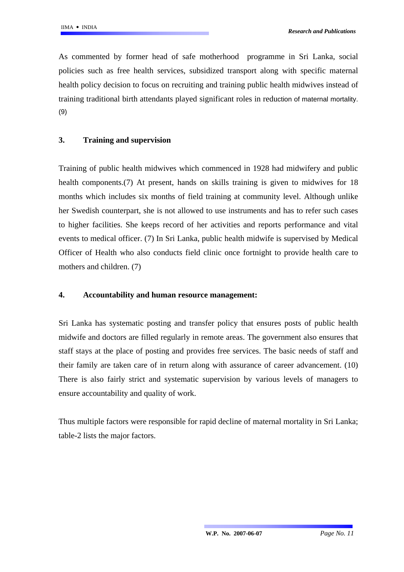As commented by former head of safe motherhood programme in Sri Lanka, social policies such as free health services, subsidized transport along with specific maternal health policy decision to focus on recruiting and training public health midwives instead of training traditional birth attendants played significant roles in reduction of maternal mortality. (9)

## **3. Training and supervision**

Training of public health midwives which commenced in 1928 had midwifery and public health components.(7) At present, hands on skills training is given to midwives for 18 months which includes six months of field training at community level. Although unlike her Swedish counterpart, she is not allowed to use instruments and has to refer such cases to higher facilities. She keeps record of her activities and reports performance and vital events to medical officer. (7) In Sri Lanka, public health midwife is supervised by Medical Officer of Health who also conducts field clinic once fortnight to provide health care to mothers and children. (7)

## **4. Accountability and human resource management:**

Sri Lanka has systematic posting and transfer policy that ensures posts of public health midwife and doctors are filled regularly in remote areas. The government also ensures that staff stays at the place of posting and provides free services. The basic needs of staff and their family are taken care of in return along with assurance of career advancement. (10) There is also fairly strict and systematic supervision by various levels of managers to ensure accountability and quality of work.

Thus multiple factors were responsible for rapid decline of maternal mortality in Sri Lanka; table-2 lists the major factors.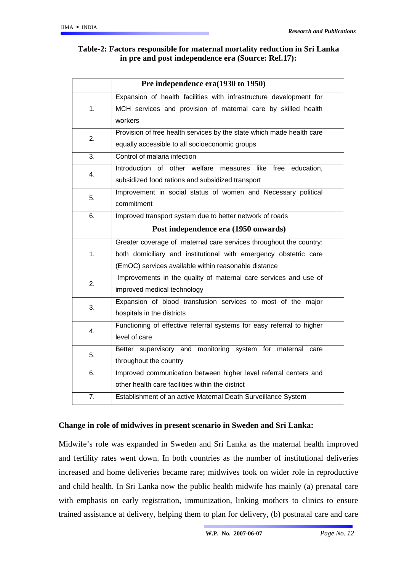# **Table-2: Factors responsible for maternal mortality reduction in Sri Lanka in pre and post independence era (Source: Ref.17):**

|                  | Pre independence era(1930 to 1950)                                    |
|------------------|-----------------------------------------------------------------------|
|                  | Expansion of health facilities with infrastructure development for    |
| 1.               | MCH services and provision of maternal care by skilled health         |
|                  | workers                                                               |
| 2.               | Provision of free health services by the state which made health care |
|                  | equally accessible to all socioeconomic groups                        |
| 3.               | Control of malaria infection                                          |
| 4.               | Introduction of other welfare measures like free education,           |
|                  | subsidized food rations and subsidized transport                      |
| 5.               | Improvement in social status of women and Necessary political         |
|                  | commitment                                                            |
| 6.               | Improved transport system due to better network of roads              |
|                  | Post independence era (1950 onwards)                                  |
|                  | Greater coverage of maternal care services throughout the country:    |
| 1.               | both domiciliary and institutional with emergency obstetric care      |
|                  | (EmOC) services available within reasonable distance                  |
| 2.               | Improvements in the quality of maternal care services and use of      |
|                  | improved medical technology                                           |
| 3.               | Expansion of blood transfusion services to most of the major          |
|                  | hospitals in the districts                                            |
| 4.               | Functioning of effective referral systems for easy referral to higher |
|                  | level of care                                                         |
| 5.               | Better supervisory and monitoring system for maternal care            |
|                  | throughout the country                                                |
| 6.               | Improved communication between higher level referral centers and      |
|                  | other health care facilities within the district                      |
| $\overline{7}$ . | Establishment of an active Maternal Death Surveillance System         |

# **Change in role of midwives in present scenario in Sweden and Sri Lanka:**

Midwife's role was expanded in Sweden and Sri Lanka as the maternal health improved and fertility rates went down. In both countries as the number of institutional deliveries increased and home deliveries became rare; midwives took on wider role in reproductive and child health. In Sri Lanka now the public health midwife has mainly (a) prenatal care with emphasis on early registration, immunization, linking mothers to clinics to ensure trained assistance at delivery, helping them to plan for delivery, (b) postnatal care and care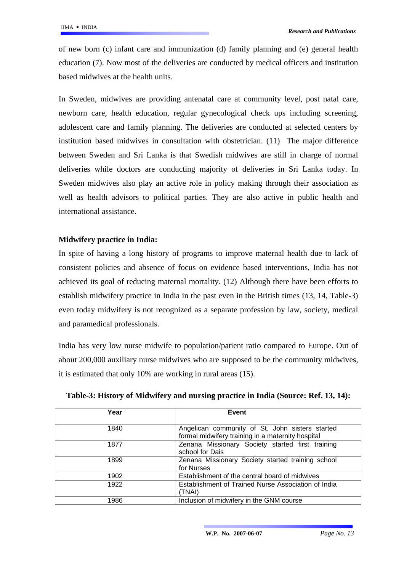of new born (c) infant care and immunization (d) family planning and (e) general health education (7). Now most of the deliveries are conducted by medical officers and institution based midwives at the health units.

In Sweden, midwives are providing antenatal care at community level, post natal care, newborn care, health education, regular gynecological check ups including screening, adolescent care and family planning. The deliveries are conducted at selected centers by institution based midwives in consultation with obstetrician. (11) The major difference between Sweden and Sri Lanka is that Swedish midwives are still in charge of normal deliveries while doctors are conducting majority of deliveries in Sri Lanka today. In Sweden midwives also play an active role in policy making through their association as well as health advisors to political parties. They are also active in public health and international assistance.

# **Midwifery practice in India:**

In spite of having a long history of programs to improve maternal health due to lack of consistent policies and absence of focus on evidence based interventions, India has not achieved its goal of reducing maternal mortality. (12) Although there have been efforts to establish midwifery practice in India in the past even in the British times (13, 14, Table-3) even today midwifery is not recognized as a separate profession by law, society, medical and paramedical professionals.

India has very low nurse midwife to population/patient ratio compared to Europe. Out of about 200,000 auxiliary nurse midwives who are supposed to be the community midwives, it is estimated that only 10% are working in rural areas (15).

| Year | Event                                                                                                |
|------|------------------------------------------------------------------------------------------------------|
|      |                                                                                                      |
| 1840 | Angelican community of St. John sisters started<br>formal midwifery training in a maternity hospital |
| 1877 | Zenana Missionary Society started first training<br>school for Dais                                  |
| 1899 | Zenana Missionary Society started training school<br>for Nurses                                      |
| 1902 | Establishment of the central board of midwives                                                       |
| 1922 | Establishment of Trained Nurse Association of India<br>(TNAI)                                        |
| 1986 | Inclusion of midwifery in the GNM course                                                             |

**Table-3: History of Midwifery and nursing practice in India (Source: Ref. 13, 14):**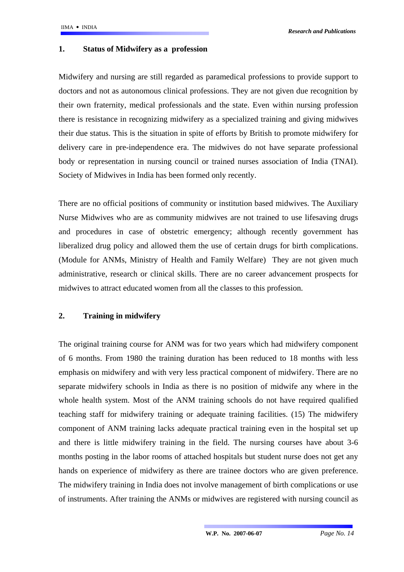#### **1. Status of Midwifery as a profession**

Midwifery and nursing are still regarded as paramedical professions to provide support to doctors and not as autonomous clinical professions. They are not given due recognition by their own fraternity, medical professionals and the state. Even within nursing profession there is resistance in recognizing midwifery as a specialized training and giving midwives their due status. This is the situation in spite of efforts by British to promote midwifery for delivery care in pre-independence era. The midwives do not have separate professional body or representation in nursing council or trained nurses association of India (TNAI). Society of Midwives in India has been formed only recently.

There are no official positions of community or institution based midwives. The Auxiliary Nurse Midwives who are as community midwives are not trained to use lifesaving drugs and procedures in case of obstetric emergency; although recently government has liberalized drug policy and allowed them the use of certain drugs for birth complications. (Module for ANMs, Ministry of Health and Family Welfare) They are not given much administrative, research or clinical skills. There are no career advancement prospects for midwives to attract educated women from all the classes to this profession.

### **2. Training in midwifery**

The original training course for ANM was for two years which had midwifery component of 6 months. From 1980 the training duration has been reduced to 18 months with less emphasis on midwifery and with very less practical component of midwifery. There are no separate midwifery schools in India as there is no position of midwife any where in the whole health system. Most of the ANM training schools do not have required qualified teaching staff for midwifery training or adequate training facilities. (15) The midwifery component of ANM training lacks adequate practical training even in the hospital set up and there is little midwifery training in the field. The nursing courses have about 3-6 months posting in the labor rooms of attached hospitals but student nurse does not get any hands on experience of midwifery as there are trainee doctors who are given preference. The midwifery training in India does not involve management of birth complications or use of instruments. After training the ANMs or midwives are registered with nursing council as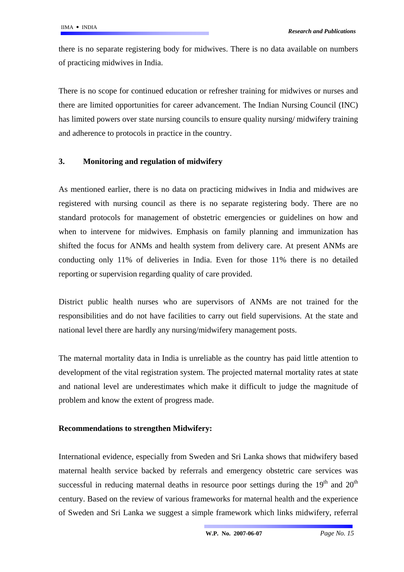there is no separate registering body for midwives. There is no data available on numbers of practicing midwives in India.

There is no scope for continued education or refresher training for midwives or nurses and there are limited opportunities for career advancement. The Indian Nursing Council (INC) has limited powers over state nursing councils to ensure quality nursing/ midwifery training and adherence to protocols in practice in the country.

# **3. Monitoring and regulation of midwifery**

As mentioned earlier, there is no data on practicing midwives in India and midwives are registered with nursing council as there is no separate registering body. There are no standard protocols for management of obstetric emergencies or guidelines on how and when to intervene for midwives. Emphasis on family planning and immunization has shifted the focus for ANMs and health system from delivery care. At present ANMs are conducting only 11% of deliveries in India. Even for those 11% there is no detailed reporting or supervision regarding quality of care provided.

District public health nurses who are supervisors of ANMs are not trained for the responsibilities and do not have facilities to carry out field supervisions. At the state and national level there are hardly any nursing/midwifery management posts.

The maternal mortality data in India is unreliable as the country has paid little attention to development of the vital registration system. The projected maternal mortality rates at state and national level are underestimates which make it difficult to judge the magnitude of problem and know the extent of progress made.

### **Recommendations to strengthen Midwifery:**

International evidence, especially from Sweden and Sri Lanka shows that midwifery based maternal health service backed by referrals and emergency obstetric care services was successful in reducing maternal deaths in resource poor settings during the  $19<sup>th</sup>$  and  $20<sup>th</sup>$ century. Based on the review of various frameworks for maternal health and the experience of Sweden and Sri Lanka we suggest a simple framework which links midwifery, referral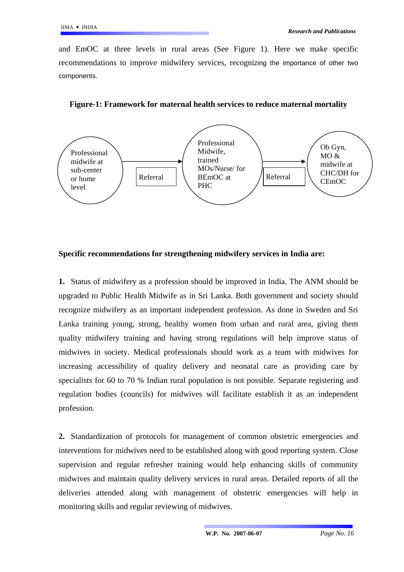and EmOC at three levels in rural areas (See Figure 1). Here we make specific recommendations to improve midwifery services, recognizing the importance of other two components.



**Figure-1: Framework for maternal health services to reduce maternal mortality** 

### **Specific recommendations for strengthening midwifery services in India are:**

**1.** Status of midwifery as a profession should be improved in India. The ANM should be upgraded to Public Health Midwife as in Sri Lanka. Both government and society should recognize midwifery as an important independent profession. As done in Sweden and Sri Lanka training young, strong, healthy women from urban and rural area, giving them quality midwifery training and having strong regulations will help improve status of midwives in society. Medical professionals should work as a team with midwives for increasing accessibility of quality delivery and neonatal care as providing care by specialists for 60 to 70 % Indian rural population is not possible. Separate registering and regulation bodies (councils) for midwives will facilitate establish it as an independent profession.

**2.** Standardization of protocols for management of common obstetric emergencies and interventions for midwives need to be established along with good reporting system. Close supervision and regular refresher training would help enhancing skills of community midwives and maintain quality delivery services in rural areas. Detailed reports of all the deliveries attended along with management of obstetric emergencies will help in monitoring skills and regular reviewing of midwives.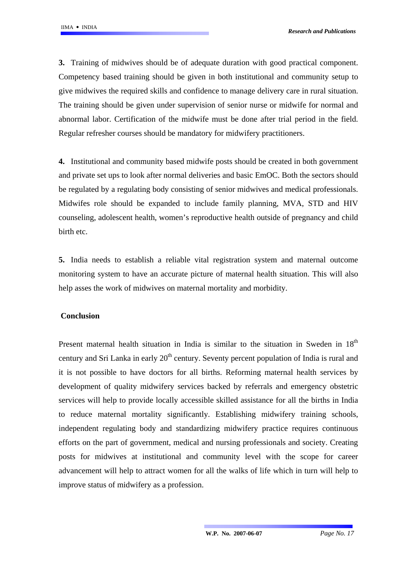**3.** Training of midwives should be of adequate duration with good practical component. Competency based training should be given in both institutional and community setup to give midwives the required skills and confidence to manage delivery care in rural situation. The training should be given under supervision of senior nurse or midwife for normal and abnormal labor. Certification of the midwife must be done after trial period in the field. Regular refresher courses should be mandatory for midwifery practitioners.

**4.** Institutional and community based midwife posts should be created in both government and private set ups to look after normal deliveries and basic EmOC. Both the sectors should be regulated by a regulating body consisting of senior midwives and medical professionals. Midwifes role should be expanded to include family planning, MVA, STD and HIV counseling, adolescent health, women's reproductive health outside of pregnancy and child birth etc.

**5.** India needs to establish a reliable vital registration system and maternal outcome monitoring system to have an accurate picture of maternal health situation. This will also help asses the work of midwives on maternal mortality and morbidity.

### **Conclusion**

Present maternal health situation in India is similar to the situation in Sweden in  $18<sup>th</sup>$ century and Sri Lanka in early  $20<sup>th</sup>$  century. Seventy percent population of India is rural and it is not possible to have doctors for all births. Reforming maternal health services by development of quality midwifery services backed by referrals and emergency obstetric services will help to provide locally accessible skilled assistance for all the births in India to reduce maternal mortality significantly. Establishing midwifery training schools, independent regulating body and standardizing midwifery practice requires continuous efforts on the part of government, medical and nursing professionals and society. Creating posts for midwives at institutional and community level with the scope for career advancement will help to attract women for all the walks of life which in turn will help to improve status of midwifery as a profession.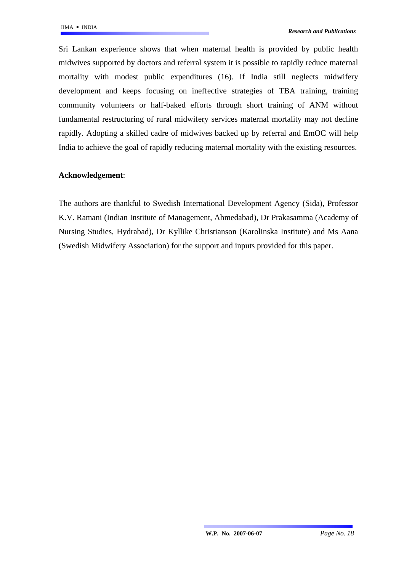Sri Lankan experience shows that when maternal health is provided by public health midwives supported by doctors and referral system it is possible to rapidly reduce maternal mortality with modest public expenditures (16). If India still neglects midwifery development and keeps focusing on ineffective strategies of TBA training, training community volunteers or half-baked efforts through short training of ANM without fundamental restructuring of rural midwifery services maternal mortality may not decline rapidly. Adopting a skilled cadre of midwives backed up by referral and EmOC will help India to achieve the goal of rapidly reducing maternal mortality with the existing resources.

### **Acknowledgement**:

The authors are thankful to Swedish International Development Agency (Sida), Professor K.V. Ramani (Indian Institute of Management, Ahmedabad), Dr Prakasamma (Academy of Nursing Studies, Hydrabad), Dr Kyllike Christianson (Karolinska Institute) and Ms Aana (Swedish Midwifery Association) for the support and inputs provided for this paper.